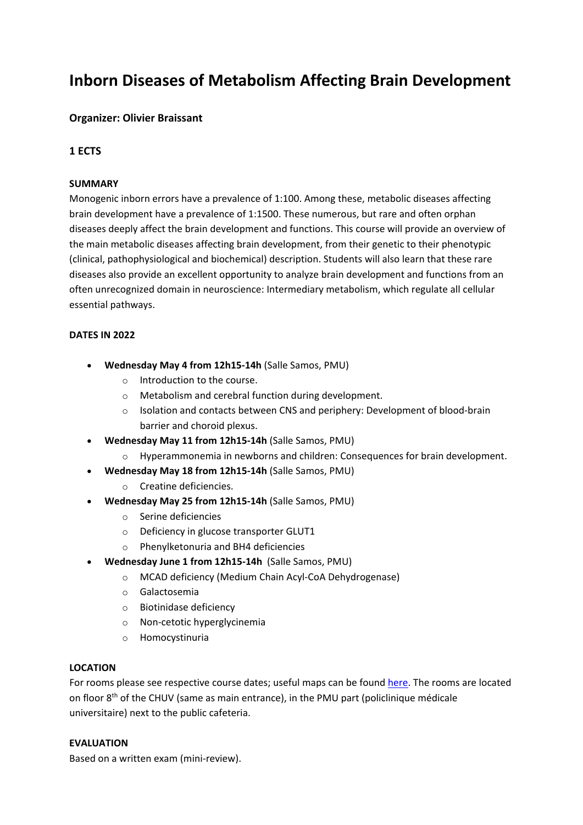# **Inborn Diseases of Metabolism Affecting Brain Development**

# **Organizer: Olivier Braissant**

## **1 ECTS**

## **SUMMARY**

Monogenic inborn errors have a prevalence of 1:100. Among these, metabolic diseases affecting brain development have a prevalence of 1:1500. These numerous, but rare and often orphan diseases deeply affect the brain development and functions. This course will provide an overview of the main metabolic diseases affecting brain development, from their genetic to their phenotypic (clinical, pathophysiological and biochemical) description. Students will also learn that these rare diseases also provide an excellent opportunity to analyze brain development and functions from an often unrecognized domain in neuroscience: Intermediary metabolism, which regulate all cellular essential pathways.

### **DATES IN 2022**

- **Wednesday May 4 from 12h15-14h** (Salle Samos, PMU)
	- o Introduction to the course.
	- o Metabolism and cerebral function during development.
	- o Isolation and contacts between CNS and periphery: Development of blood-brain barrier and choroid plexus.
- **Wednesday May 11 from 12h15-14h** (Salle Samos, PMU)
	- o Hyperammonemia in newborns and children: Consequences for brain development.
- **Wednesday May 18 from 12h15-14h** (Salle Samos, PMU)
	- o Creatine deficiencies.
- **Wednesday May 25 from 12h15-14h** (Salle Samos, PMU)
	- o Serine deficiencies
	- o Deficiency in glucose transporter GLUT1
	- o Phenylketonuria and BH4 deficiencies
- **Wednesday June 1 from 12h15-14h** (Salle Samos, PMU)
	- o MCAD deficiency (Medium Chain Acyl-CoA Dehydrogenase)
	- o Galactosemia
	- o Biotinidase deficiency
	- o Non-cetotic hyperglycinemia
	- o Homocystinuria

#### **LOCATION**

For rooms please see respective course dates; useful maps can be found [here.](https://www.chuv.ch/fileadmin/sites/onc/documents/cfo_plan_acces.pdf) The rooms are located on floor  $8<sup>th</sup>$  of the CHUV (same as main entrance), in the PMU part (policlinique médicale universitaire) next to the public cafeteria.

#### **EVALUATION**

Based on a written exam (mini-review).